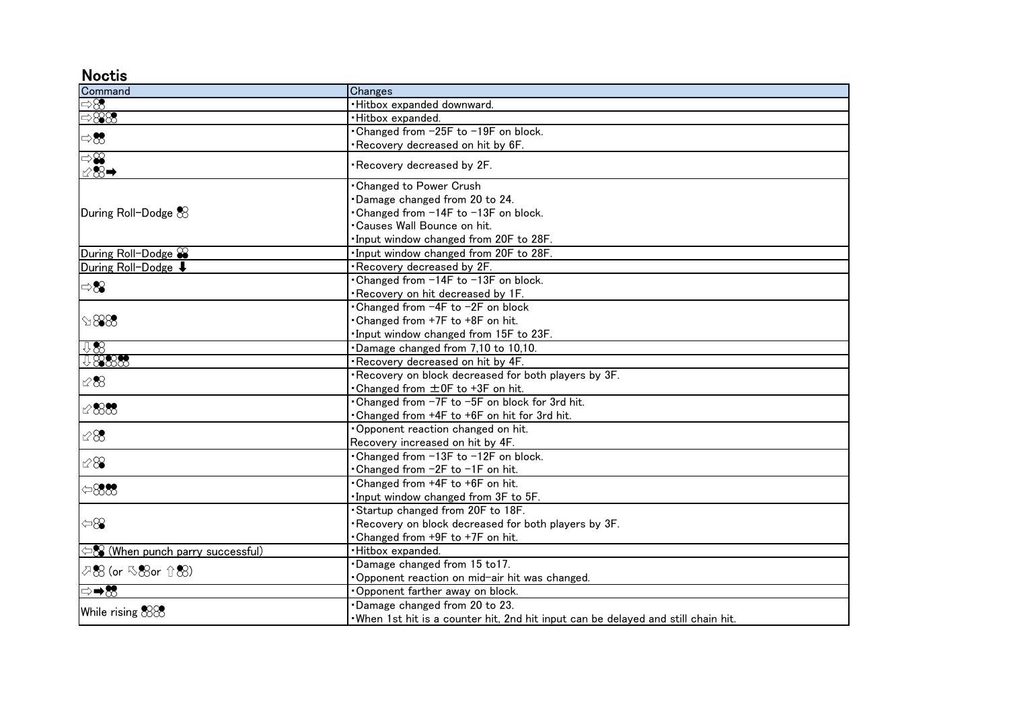## **Noctis**

| Command                           | Changes                                                                            |
|-----------------------------------|------------------------------------------------------------------------------------|
| $\Rightarrow \!\! \otimes$        | ·Hitbox expanded downward.                                                         |
| $\Rightarrow$ 888                 | ·Hitbox expanded.                                                                  |
| $\Rightarrow \infty$              | •Changed from -25F to -19F on block.                                               |
|                                   | Recovery decreased on hit by 6F.                                                   |
| $\Rightarrow \mathcal{S}$<br>128→ | Recovery decreased by 2F.                                                          |
| During Roll-Dodge $\&$            | <b>Changed to Power Crush</b>                                                      |
|                                   | Damage changed from 20 to 24.                                                      |
|                                   | Changed from -14F to -13F on block.                                                |
|                                   | Causes Wall Bounce on hit.                                                         |
|                                   | . Input window changed from 20F to 28F.                                            |
| During Roll-Dodge $\mathcal{C}$   | . Input window changed from 20F to 28F.                                            |
| During Roll-Dodge $\downarrow$    | . Recovery decreased by 2F.                                                        |
| $\Rightarrow 89$                  | • Changed from -14F to -13F on block.                                              |
|                                   | . Recovery on hit decreased by 1F.                                                 |
| $\Diamond$ 888                    | . Changed from -4F to -2F on block                                                 |
|                                   | . Changed from +7F to +8F on hit.                                                  |
|                                   | . Input window changed from 15F to 23F.                                            |
| 1188                              | . Damage changed from 7,10 to 10,10.                                               |
| 18888                             | . Recovery decreased on hit by 4F.                                                 |
| 12.88                             | . Recovery on block decreased for both players by 3F.                              |
|                                   | • Changed from ±0F to +3F on hit.                                                  |
| $\mathscr{C}883$                  | •Changed from -7F to -5F on block for 3rd hit.                                     |
|                                   | . Changed from +4F to +6F on hit for 3rd hit.                                      |
| $\&8$                             | Opponent reaction changed on hit.                                                  |
|                                   | Recovery increased on hit by 4F.                                                   |
| $\&\otimes$                       | •Changed from -13F to -12F on block.                                               |
|                                   | . Changed from -2F to -1F on hit.                                                  |
| $\Leftrightarrow$ 888             | . Changed from +4F to +6F on hit.                                                  |
|                                   | . Input window changed from 3F to 5F.                                              |
|                                   | Startup changed from 20F to 18F.                                                   |
| $\Leftrightarrow$                 | Recovery on block decreased for both players by 3F.                                |
|                                   | Changed from +9F to +7F on hit.                                                    |
| < S (When punch parry successful) | ·Hitbox expanded.                                                                  |
| 夕恕 (or ≤88or 介恕)                  | Damage changed from 15 to17.                                                       |
|                                   | Opponent reaction on mid-air hit was changed.                                      |
| ⇒→ಔ                               | Opponent farther away on block.                                                    |
| While rising &88                  | Damage changed from 20 to 23.                                                      |
|                                   | . When 1st hit is a counter hit, 2nd hit input can be delayed and still chain hit. |